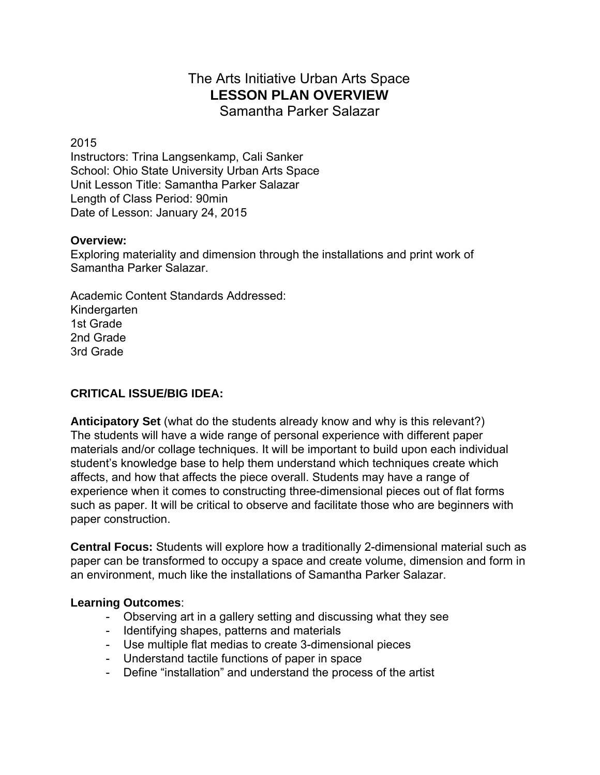# The Arts Initiative Urban Arts Space **LESSON PLAN OVERVIEW**

Samantha Parker Salazar

2015

Instructors: Trina Langsenkamp, Cali Sanker School: Ohio State University Urban Arts Space Unit Lesson Title: Samantha Parker Salazar Length of Class Period: 90min Date of Lesson: January 24, 2015

# **Overview:**

Exploring materiality and dimension through the installations and print work of Samantha Parker Salazar.

Academic Content Standards Addressed: Kindergarten 1st Grade 2nd Grade 3rd Grade

# **CRITICAL ISSUE/BIG IDEA:**

**Anticipatory Set** (what do the students already know and why is this relevant?) The students will have a wide range of personal experience with different paper materials and/or collage techniques. It will be important to build upon each individual student's knowledge base to help them understand which techniques create which affects, and how that affects the piece overall. Students may have a range of experience when it comes to constructing three-dimensional pieces out of flat forms such as paper. It will be critical to observe and facilitate those who are beginners with paper construction.

**Central Focus:** Students will explore how a traditionally 2-dimensional material such as paper can be transformed to occupy a space and create volume, dimension and form in an environment, much like the installations of Samantha Parker Salazar.

#### **Learning Outcomes**:

- Observing art in a gallery setting and discussing what they see
- Identifying shapes, patterns and materials
- Use multiple flat medias to create 3-dimensional pieces
- Understand tactile functions of paper in space
- Define "installation" and understand the process of the artist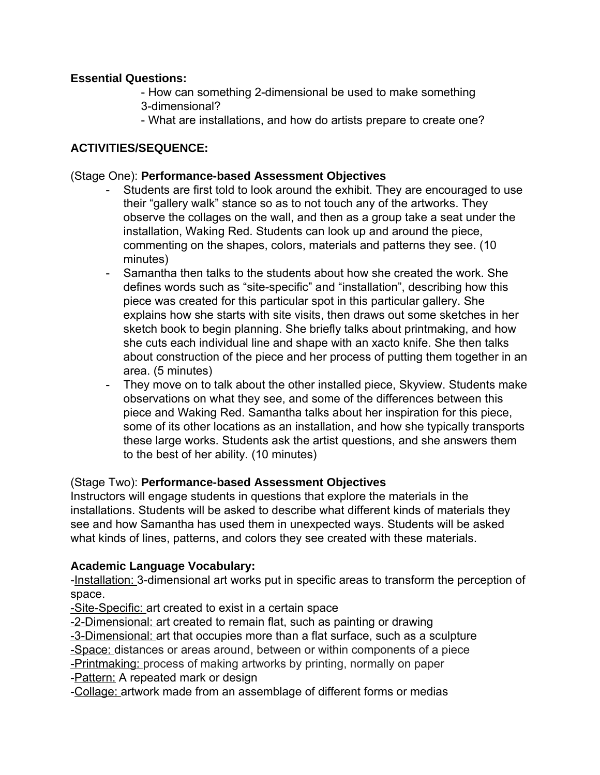# **Essential Questions:**

- How can something 2-dimensional be used to make something 3-dimensional?
- What are installations, and how do artists prepare to create one?

## **ACTIVITIES/SEQUENCE:**

#### (Stage One): **Performance-based Assessment Objectives**

- Students are first told to look around the exhibit. They are encouraged to use their "gallery walk" stance so as to not touch any of the artworks. They observe the collages on the wall, and then as a group take a seat under the installation, Waking Red. Students can look up and around the piece, commenting on the shapes, colors, materials and patterns they see. (10 minutes)
- Samantha then talks to the students about how she created the work. She defines words such as "site-specific" and "installation", describing how this piece was created for this particular spot in this particular gallery. She explains how she starts with site visits, then draws out some sketches in her sketch book to begin planning. She briefly talks about printmaking, and how she cuts each individual line and shape with an xacto knife. She then talks about construction of the piece and her process of putting them together in an area. (5 minutes)
- They move on to talk about the other installed piece, Skyview. Students make observations on what they see, and some of the differences between this piece and Waking Red. Samantha talks about her inspiration for this piece, some of its other locations as an installation, and how she typically transports these large works. Students ask the artist questions, and she answers them to the best of her ability. (10 minutes)

# (Stage Two): **Performance-based Assessment Objectives**

Instructors will engage students in questions that explore the materials in the installations. Students will be asked to describe what different kinds of materials they see and how Samantha has used them in unexpected ways. Students will be asked what kinds of lines, patterns, and colors they see created with these materials.

#### **Academic Language Vocabulary:**

-Installation: 3-dimensional art works put in specific areas to transform the perception of space.

-Site-Specific: art created to exist in a certain space

-2-Dimensional: art created to remain flat, such as painting or drawing

-3-Dimensional: art that occupies more than a flat surface, such as a sculpture

Space: distances or areas around, between or within components of a piece

Printmaking: process of making artworks by printing, normally on paper -**Pattern:** A repeated mark or design

Collage: artwork made from an assemblage of different forms or medias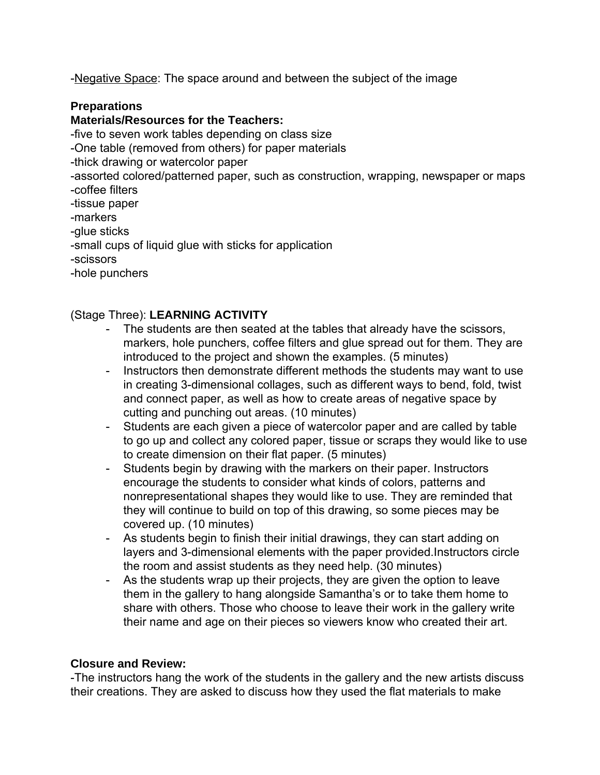-Negative Space: The space around and between the subject of the image

#### **Preparations**

#### **Materials/Resources for the Teachers:**

five to seven work tables depending on class size One table (removed from others) for paper materials thick drawing or watercolor paper assorted colored/patterned paper, such as construction, wrapping, newspaper or maps coffee filters tissue paper markers glue sticks small cups of liquid glue with sticks for application scissors hole punchers

#### (Stage Three): **LEARNING ACTIVITY**

- The students are then seated at the tables that already have the scissors, markers, hole punchers, coffee filters and glue spread out for them. They are introduced to the project and shown the examples. (5 minutes)
- Instructors then demonstrate different methods the students may want to use in creating 3-dimensional collages, such as different ways to bend, fold, twist and connect paper, as well as how to create areas of negative space by cutting and punching out areas. (10 minutes)
- Students are each given a piece of watercolor paper and are called by table to go up and collect any colored paper, tissue or scraps they would like to use to create dimension on their flat paper. (5 minutes)
- Students begin by drawing with the markers on their paper. Instructors encourage the students to consider what kinds of colors, patterns and nonrepresentational shapes they would like to use. They are reminded that they will continue to build on top of this drawing, so some pieces may be covered up. (10 minutes)
- As students begin to finish their initial drawings, they can start adding on layers and 3-dimensional elements with the paper provided.Instructors circle the room and assist students as they need help. (30 minutes)
- As the students wrap up their projects, they are given the option to leave them in the gallery to hang alongside Samantha's or to take them home to share with others. Those who choose to leave their work in the gallery write their name and age on their pieces so viewers know who created their art.

#### **Closure and Review:**

The instructors hang the work of the students in the gallery and the new artists discuss their creations. They are asked to discuss how they used the flat materials to make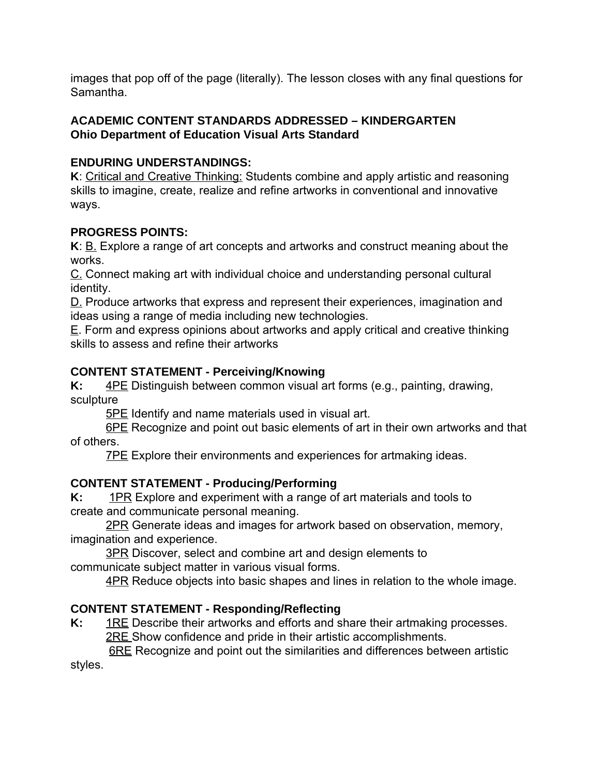images that pop off of the page (literally). The lesson closes with any final questions for Samantha.

# **ACADEMIC CONTENT STANDARDS ADDRESSED – KINDERGARTEN Ohio Department of Education Visual Arts Standard**

# **ENDURING UNDERSTANDINGS:**

**K**: Critical and Creative Thinking: Students combine and apply artistic and reasoning skills to imagine, create, realize and refine artworks in conventional and innovative ways.

# **PROGRESS POINTS:**

**K**: <u>B.</u> Explore a range of art concepts and artworks and construct meaning about the works.

C. Connect making art with individual choice and understanding personal cultural identity.

D. Produce artworks that express and represent their experiences, imagination and ideas using a range of media including new technologies.

E. Form and express opinions about artworks and apply critical and creative thinking skills to assess and refine their artworks

# **CONTENT STATEMENT - Perceiving/Knowing**

**K:** 4PE Distinguish between common visual art forms (e.g., painting, drawing, sculpture

**5PE** Identify and name materials used in visual art.

6PE Recognize and point out basic elements of art in their own artworks and that of others.

**7PE** Explore their environments and experiences for artmaking ideas.

# **CONTENT STATEMENT - Producing/Performing**

**K:** 1PR Explore and experiment with a range of art materials and tools to create and communicate personal meaning.

2PR Generate ideas and images for artwork based on observation, memory, imagination and experience.

**3PR Discover, select and combine art and design elements to** communicate subject matter in various visual forms.

**4PR Reduce objects into basic shapes and lines in relation to the whole image.** 

# **CONTENT STATEMENT - Responding/Reflecting**

**K:** 1RE Describe their artworks and efforts and share their artmaking processes. 2RE Show confidence and pride in their artistic accomplishments.

**6RE** Recognize and point out the similarities and differences between artistic styles.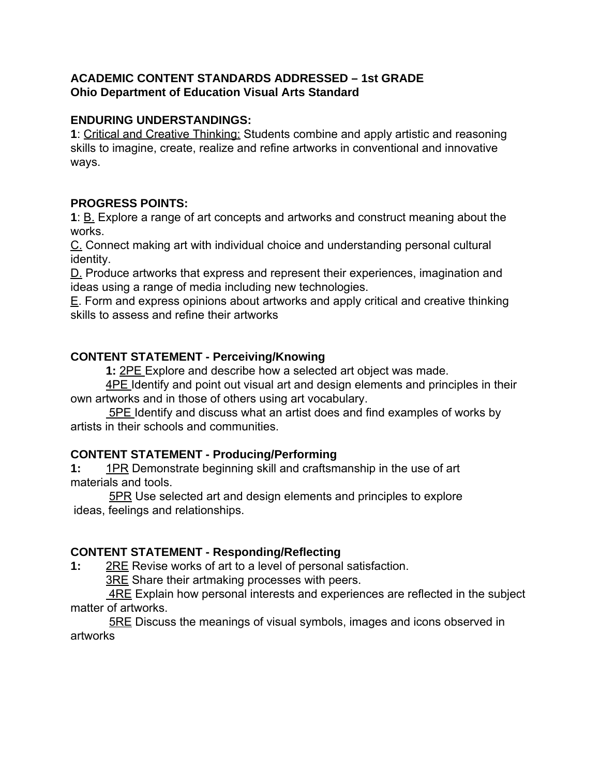### **ACADEMIC CONTENT STANDARDS ADDRESSED – 1st GRADE Ohio Department of Education Visual Arts Standard**

#### **ENDURING UNDERSTANDINGS:**

**1**: Critical and Creative Thinking: Students combine and apply artistic and reasoning skills to imagine, create, realize and refine artworks in conventional and innovative ways.

# **PROGRESS POINTS:**

**1**: B. Explore a range of art concepts and artworks and construct meaning about the works.

C. Connect making art with individual choice and understanding personal cultural identity.

D. Produce artworks that express and represent their experiences, imagination and ideas using a range of media including new technologies.

E. Form and express opinions about artworks and apply critical and creative thinking skills to assess and refine their artworks

# **CONTENT STATEMENT - Perceiving/Knowing**

**1:** 2PE Explore and describe how a selected art object was made.

4PE Identify and point out visual art and design elements and principles in their own artworks and in those of others using art vocabulary.

**5PE** Identify and discuss what an artist does and find examples of works by artists in their schools and communities.

# **CONTENT STATEMENT - Producing/Performing**

**1:** 1PR Demonstrate beginning skill and craftsmanship in the use of art materials and tools.

5PR Use selected art and design elements and principles to explore ideas, feelings and relationships.

# **CONTENT STATEMENT - Responding/Reflecting**

**1:** 2RE Revise works of art to a level of personal satisfaction.

3RE Share their artmaking processes with peers.

4RE Explain how personal interests and experiences are reflected in the subject matter of artworks.

5RE Discuss the meanings of visual symbols, images and icons observed in artworks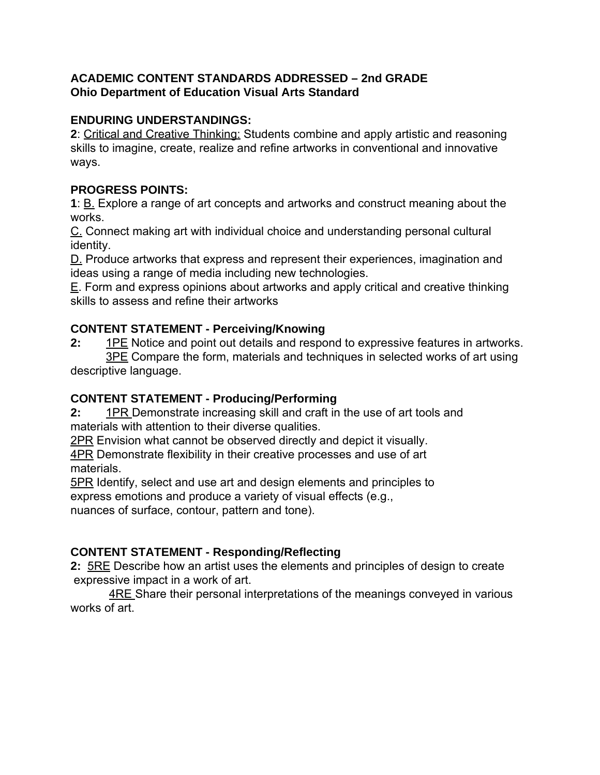# **ACADEMIC CONTENT STANDARDS ADDRESSED – 2nd GRADE Ohio Department of Education Visual Arts Standard**

# **ENDURING UNDERSTANDINGS:**

**2**: Critical and Creative Thinking: Students combine and apply artistic and reasoning skills to imagine, create, realize and refine artworks in conventional and innovative ways.

# **PROGRESS POINTS:**

**1**: B. Explore a range of art concepts and artworks and construct meaning about the works.

C. Connect making art with individual choice and understanding personal cultural identity.

D. Produce artworks that express and represent their experiences, imagination and ideas using a range of media including new technologies.

E. Form and express opinions about artworks and apply critical and creative thinking skills to assess and refine their artworks

# **CONTENT STATEMENT - Perceiving/Knowing**

**2:** 1PE Notice and point out details and respond to expressive features in artworks. 3PE Compare the form, materials and techniques in selected works of art using descriptive language.

# **CONTENT STATEMENT - Producing/Performing**

**2:** 1PR Demonstrate increasing skill and craft in the use of art tools and materials with attention to their diverse qualities.

2PR Envision what cannot be observed directly and depict it visually.

4PR Demonstrate flexibility in their creative processes and use of art materials.

5PR Identify, select and use art and design elements and principles to express emotions and produce a variety of visual effects (e.g., nuances of surface, contour, pattern and tone).

# **CONTENT STATEMENT - Responding/Reflecting**

**2:** 5RE Describe how an artist uses the elements and principles of design to create expressive impact in a work of art.

4RE Share their personal interpretations of the meanings conveyed in various works of art.